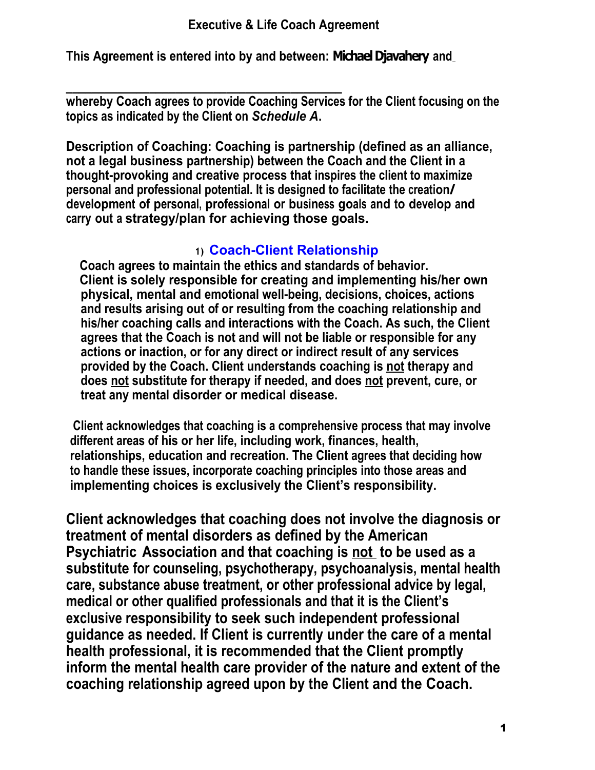**This Agreement is entered into by and between: Michael Djavahery and**

**\_\_\_\_\_\_\_\_\_\_\_\_\_\_\_\_\_\_\_\_\_\_\_\_\_\_\_\_\_\_\_\_\_\_\_\_\_\_\_\_\_\_\_ whereby Coach agrees to provide Coaching Services for the Client focusing on the topics as indicated by the Client on** *Schedule A***.**

**Description of Coaching: Coaching is partnership (defined as an alliance, not a legal business partnership) between the Coach and the Client in a thought-provoking and creative process that inspires the client to maximize personal and professional potential. It is designed to facilitate the creation/ development of personal, professional or business goals and to develop and carry out a strategy/plan for achieving those goals.**

# **1) Coach-Client Relationship**

 **Coach agrees to maintain the ethics and standards of behavior. Client is solely responsible for creating and implementing his/her own physical, mental and emotional well-being, decisions, choices, actions and results arising out of or resulting from the coaching relationship and his/her coaching calls and interactions with the Coach. As such, the Client agrees that the Coach is not and will not be liable or responsible for any actions or inaction, or for any direct or indirect result of any services provided by the Coach. Client understands coaching is not therapy and does not substitute for therapy if needed, and does not prevent, cure, or treat any mental disorder or medical disease.**

**Client acknowledges that coaching is a comprehensive process that may involve different areas of his or her life, including work, finances, health, relationships, education and recreation. The Client agrees that deciding how to handle these issues, incorporate coaching principles into those areas and implementing choices is exclusively the Client's responsibility.**

**Client acknowledges that coaching does not involve the diagnosis or treatment of mental disorders as defined by the American Psychiatric Association and that coaching is not to be used as a substitute for counseling, psychotherapy, psychoanalysis, mental health care, substance abuse treatment, or other professional advice by legal, medical or other qualified professionals and that it is the Client's exclusive responsibility to seek such independent professional guidance as needed. If Client is currently under the care of a mental health professional, it is recommended that the Client promptly inform the mental health care provider of the nature and extent of the coaching relationship agreed upon by the Client and the Coach.**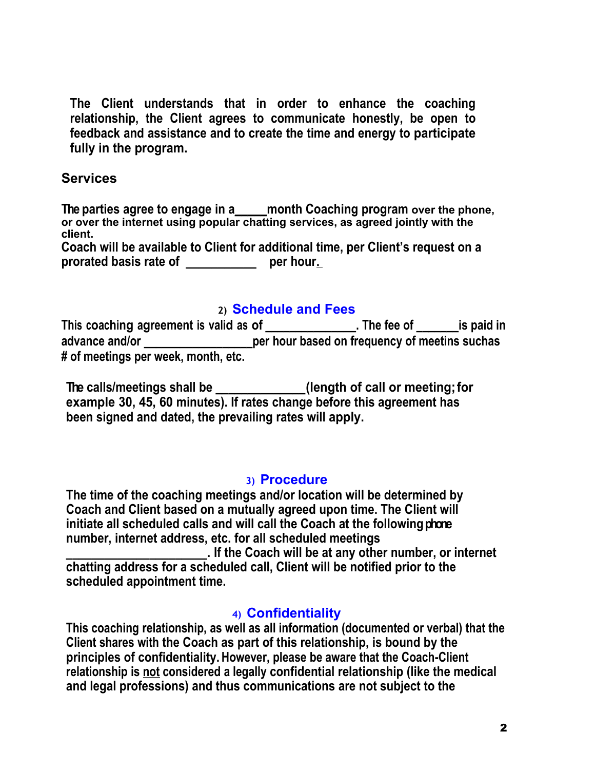**The Client understands that in order to enhance the coaching relationship, the Client agrees to communicate honestly, be open to feedback and assistance and to create the time and energy to participate fully in the program.**

### **Services**

**The parties agree to engage in a\_\_\_\_\_month Coaching program over the phone, or over the internet using popular chatting services, as agreed jointly with the client.**

**Coach will be available to Client for additional time, per Client's request on a prorated basis rate of \_\_\_\_\_\_\_\_\_\_\_ per hour.** 

### **2) Schedule and Fees**

**This coaching agreement is valid as of \_\_\_\_\_\_\_\_\_\_\_\_\_\_\_. The fee of \_\_\_\_\_\_\_is paid in advance and/or \_\_\_\_\_\_\_\_\_\_\_\_\_\_\_\_\_\_per hour based on frequency of meetins suchas # of meetings per week, month, etc.** 

**The calls/meetings shall be \_\_\_\_\_\_\_\_\_\_\_\_\_\_(length of call or meeting; for example 30, 45, 60 minutes). If rates change before this agreement has been signed and dated, the prevailing rates will apply.**

### **3) Procedure**

**The time of the coaching meetings and/or location will be determined by Coach and Client based on a mutually agreed upon time. The Client will initiate all scheduled calls and will call the Coach at the following phone number, internet address, etc. for all scheduled meetings \_\_\_\_\_\_\_\_\_\_\_\_\_\_\_\_\_\_\_\_\_\_. If the Coach will be at any other number, or internet chatting address for a scheduled call, Client will be notified prior to the**

**scheduled appointment time.**

# **4) Confidentiality**

**This coaching relationship, as well as all information (documented or verbal) that the Client shares with the Coach as part of this relationship, is bound by the principles of confidentiality. However, please be aware that the Coach-Client relationship is not considered a legally confidential relationship (like the medical and legal professions) and thus communications are not subject to the**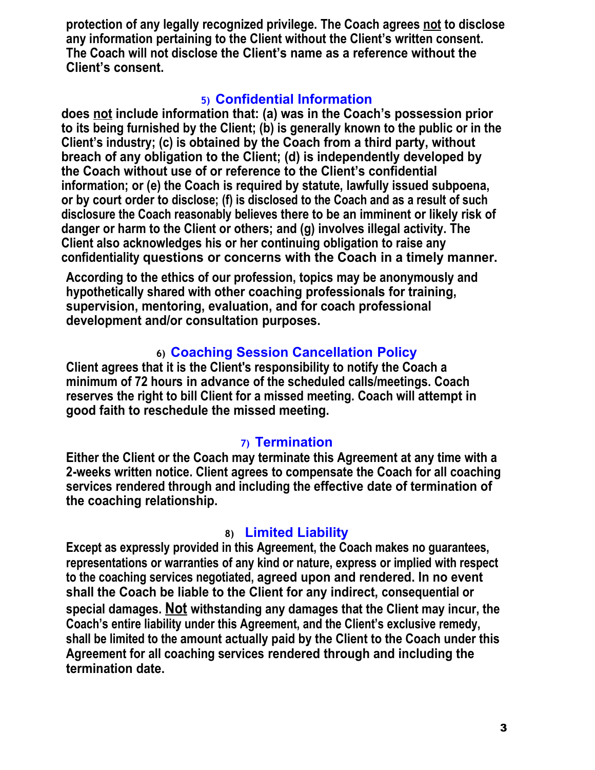**protection of any legally recognized privilege. The Coach agrees not to disclose any information pertaining to the Client without the Client's written consent. The Coach will not disclose the Client's name as a reference without the Client's consent.**

### **5) Confidential Information**

**does not include information that: (a) was in the Coach's possession prior to its being furnished by the Client; (b) is generally known to the public or in the Client's industry; (c) is obtained by the Coach from a third party, without breach of any obligation to the Client; (d) is independently developed by the Coach without use of or reference to the Client's confidential information; or (e) the Coach is required by statute, lawfully issued subpoena, or by court order to disclose; (f) is disclosed to the Coach and as a result of such disclosure the Coach reasonably believes there to be an imminent or likely risk of danger or harm to the Client or others; and (g) involves illegal activity. The Client also acknowledges his or her continuing obligation to raise any confidentiality questions or concerns with the Coach in a timely manner.**

**According to the ethics of our profession, topics may be anonymously and hypothetically shared with other coaching professionals for training, supervision, mentoring, evaluation, and for coach professional development and/or consultation purposes.**

# **6) Coaching Session Cancellation Policy**

**Client agrees that it is the Client's responsibility to notify the Coach a minimum of 72 hours in advance of the scheduled calls/meetings. Coach reserves the right to bill Client for a missed meeting. Coach will attempt in good faith to reschedule the missed meeting.**

# **7) Termination**

**Either the Client or the Coach may terminate this Agreement at any time with a 2-weeks written notice. Client agrees to compensate the Coach for all coaching services rendered through and including the effective date of termination of the coaching relationship.**

# **8) Limited Liability**

**Except as expressly provided in this Agreement, the Coach makes no guarantees, representations or warranties of any kind or nature, express or implied with respect to the coaching services negotiated, agreed upon and rendered. In no event shall the Coach be liable to the Client for any indirect, consequential or special damages. Not withstanding any damages that the Client may incur, the Coach's entire liability under this Agreement, and the Client's exclusive remedy, shall be limited to the amount actually paid by the Client to the Coach under this Agreement for all coaching services rendered through and including the termination date.**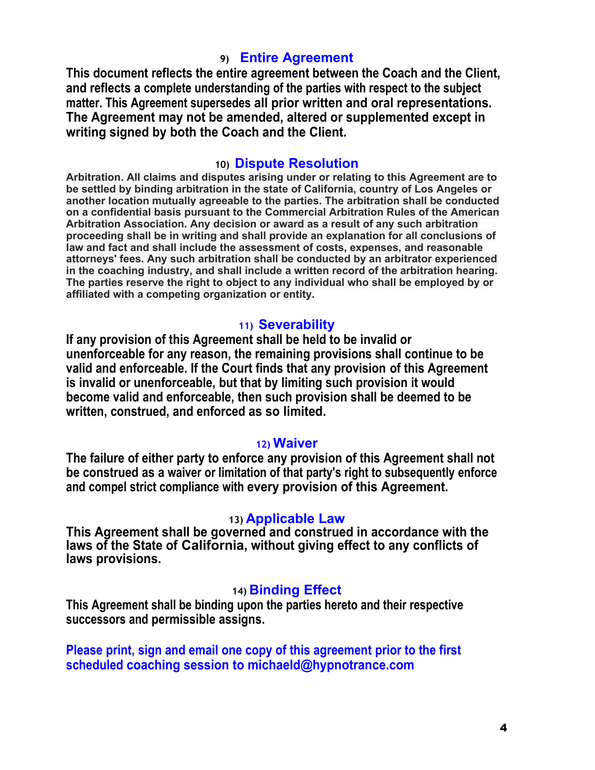### **9) Entire Agreement**

**This document reflects the entire agreement between the Coach and the Client, and reflects a complete understanding of the parties with respect to the subject matter. This Agreement supersedes all prior written and oral representations. The Agreement may not be amended, altered or supplemented except in writing signed by both the Coach and the Client.**

#### **10) Dispute Resolution**

**Arbitration. All claims and disputes arising under or relating to this Agreement are to be settled by binding arbitration in the state of California, country of Los Angeles or another location mutually agreeable to the parties. The arbitration shall be conducted on a confidential basis pursuant to the Commercial Arbitration Rules of the American Arbitration Association. Any decision or award as a result of any such arbitration proceeding shall be in writing and shall provide an explanation for all conclusions of law and fact and shall include the assessment of costs, expenses, and reasonable attorneys' fees. Any such arbitration shall be conducted by an arbitrator experienced in the coaching industry, and shall include a written record of the arbitration hearing. The parties reserve the right to object to any individual who shall be employed by or affiliated with a competing organization or entity.** 

#### **11) Severability**

**If any provision of this Agreement shall be held to be invalid or unenforceable for any reason, the remaining provisions shall continue to be valid and enforceable. If the Court finds that any provision of this Agreement is invalid or unenforceable, but that by limiting such provision it would become valid and enforceable, then such provision shall be deemed to be written, construed, and enforced as so limited.**

#### **12) Waiver**

**The failure of either party to enforce any provision of this Agreement shall not be construed as a waiver or limitation of that party's right to subsequently enforce and compel strict compliance with every provision of this Agreement.**

#### **13) Applicable Law**

**This Agreement shall be governed and construed in accordance with the laws of the State of California, without giving effect to any conflicts of laws provisions.**

#### **14) Binding Effect**

**This Agreement shall be binding upon the parties hereto and their respective successors and permissible assigns.**

**Please print, sign and email one copy of this agreement prior to the first scheduled coaching session to michaeld@hypnotrance.com**